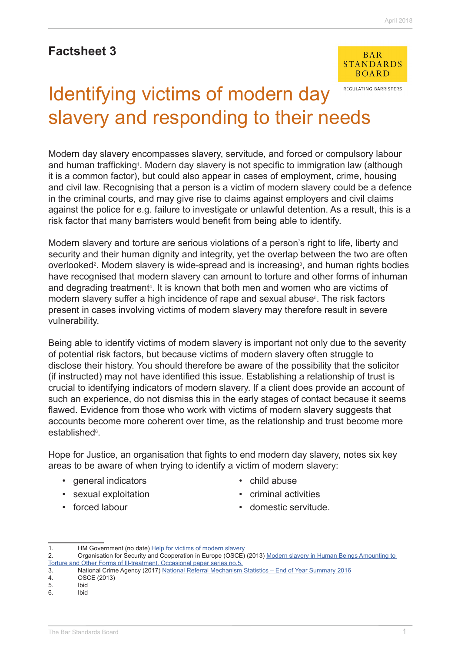# **Factsheet 3**



## REGULATING BARRISTERS Identifying victims of modern day slavery and responding to their needs

Modern day slavery encompasses slavery, servitude, and forced or compulsory labour and human trafficking<sup>1</sup>. Modern day slavery is not specific to immigration law (although it is a common factor), but could also appear in cases of employment, crime, housing and civil law. Recognising that a person is a victim of modern slavery could be a defence in the criminal courts, and may give rise to claims against employers and civil claims against the police for e.g. failure to investigate or unlawful detention. As a result, this is a risk factor that many barristers would benefit from being able to identify.

Modern slavery and torture are serious violations of a person's right to life, liberty and security and their human dignity and integrity, yet the overlap between the two are often overlooked<sup>2</sup>. Modern slavery is wide-spread and is increasing<sup>3</sup>, and human rights bodies have recognised that modern slavery can amount to torture and other forms of inhuman and degrading treatment<sup>4</sup>. It is known that both men and women who are victims of modern slavery suffer a high incidence of rape and sexual abuse<sup>5</sup>. The risk factors present in cases involving victims of modern slavery may therefore result in severe vulnerability.

Being able to identify victims of modern slavery is important not only due to the severity of potential risk factors, but because victims of modern slavery often struggle to disclose their history. You should therefore be aware of the possibility that the solicitor (if instructed) may not have identified this issue. Establishing a relationship of trust is crucial to identifying indicators of modern slavery. If a client does provide an account of such an experience, do not dismiss this in the early stages of contact because it seems flawed. Evidence from those who work with victims of modern slavery suggests that accounts become more coherent over time, as the relationship and trust become more established<sup>6</sup>.

Hope for Justice, an organisation that fights to end modern day slavery, notes six key areas to be aware of when trying to identify a victim of modern slavery:

- general indicators
- sexual exploitation
- forced labour
- child abuse
- criminal activities
- domestic servitude.

<sup>1.</sup> HM Government (no date) [Help for victims of modern slavery](https://www.gov.uk/government/uploads/system/uploads/attachment_data/file/510593/6_1672_HO_VictimsModernSlavery_DL_FINAL_WEB_230316.pdf)

<sup>2.</sup> Organisation for Security and Cooperation in Europe (OSCE) (2013) Modern slavery in Human Beings Amounting to [Torture and Other Forms of Ill-treatment. Occasional paper series no.5.](http://www.osce.org/secretariat/103085?download=true%5d)

<sup>3.</sup> National Crime Agency (2017) [National Referral Mechanism Statistics – End of Year Summary 2016](http://www.nationalcrimeagency.gov.uk/publications/national-referral-mechanism-statistics/2016-nrm-statistics/788-national-referral-mechanism-statistics-end-of-year-summary-2016/file)

<sup>4.</sup> OSCE (2013)

<sup>5.</sup> Ibid

<sup>6.</sup> Ibid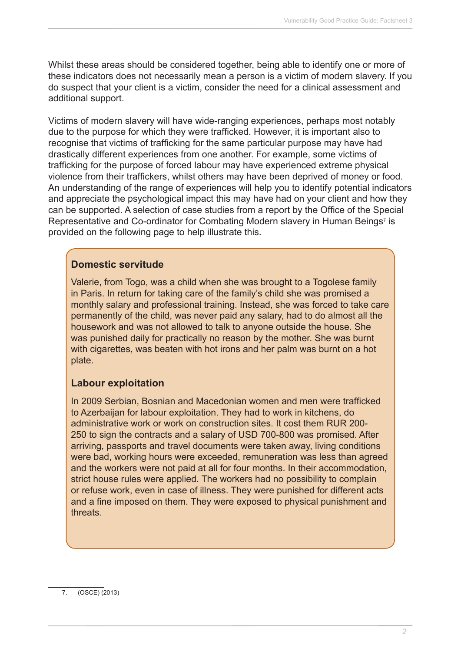Whilst these areas should be considered together, being able to identify one or more of these indicators does not necessarily mean a person is a victim of modern slavery. If you do suspect that your client is a victim, consider the need for a clinical assessment and additional support.

Victims of modern slavery will have wide-ranging experiences, perhaps most notably due to the purpose for which they were trafficked. However, it is important also to recognise that victims of trafficking for the same particular purpose may have had drastically different experiences from one another. For example, some victims of trafficking for the purpose of forced labour may have experienced extreme physical violence from their traffickers, whilst others may have been deprived of money or food. An understanding of the range of experiences will help you to identify potential indicators and appreciate the psychological impact this may have had on your client and how they can be supported. A selection of case studies from a report by the Office of the Special Representative and Co-ordinator for Combating Modern slavery in Human Beings<sup>7</sup> is provided on the following page to help illustrate this.

#### **Domestic servitude**

Valerie, from Togo, was a child when she was brought to a Togolese family in Paris. In return for taking care of the family's child she was promised a monthly salary and professional training. Instead, she was forced to take care permanently of the child, was never paid any salary, had to do almost all the housework and was not allowed to talk to anyone outside the house. She was punished daily for practically no reason by the mother. She was burnt with cigarettes, was beaten with hot irons and her palm was burnt on a hot plate.

#### **Labour exploitation**

In 2009 Serbian, Bosnian and Macedonian women and men were trafficked to Azerbaijan for labour exploitation. They had to work in kitchens, do administrative work or work on construction sites. It cost them RUR 200- 250 to sign the contracts and a salary of USD 700-800 was promised. After arriving, passports and travel documents were taken away, living conditions were bad, working hours were exceeded, remuneration was less than agreed and the workers were not paid at all for four months. In their accommodation, strict house rules were applied. The workers had no possibility to complain or refuse work, even in case of illness. They were punished for different acts and a fine imposed on them. They were exposed to physical punishment and threats.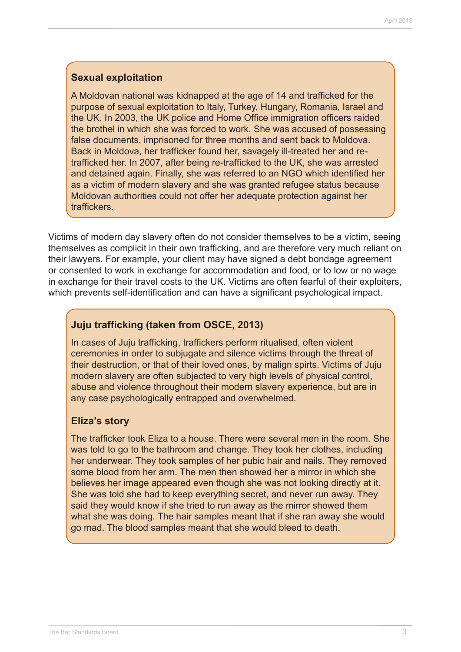#### **Sexual exploitation**

A Moldovan national was kidnapped at the age of 14 and trafficked for the purpose of sexual exploitation to Italy, Turkey, Hungary, Romania, Israel and the UK. In 2003, the UK police and Home Office immigration officers raided the brothel in which she was forced to work. She was accused of possessing false documents, imprisoned for three months and sent back to Moldova. Back in Moldova, her trafficker found her, savagely ill-treated her and retrafficked her. In 2007, after being re-trafficked to the UK, she was arrested and detained again. Finally, she was referred to an NGO which identified her as a victim of modern slavery and she was granted refugee status because Moldovan authorities could not offer her adequate protection against her traffickers.

Victims of modern day slavery often do not consider themselves to be a victim, seeing themselves as complicit in their own trafficking, and are therefore very much reliant on their lawyers. For example, your client may have signed a debt bondage agreement or consented to work in exchange for accommodation and food, or to low or no wage in exchange for their travel costs to the UK. Victims are often fearful of their exploiters, which prevents self-identification and can have a significant psychological impact.

#### **Juju trafficking (taken from OSCE, 2013)**

In cases of Juju trafficking, traffickers perform ritualised, often violent ceremonies in order to subjugate and silence victims through the threat of their destruction, or that of their loved ones, by malign spirts. Victims of Juju modern slavery are often subjected to very high levels of physical control, abuse and violence throughout their modern slavery experience, but are in any case psychologically entrapped and overwhelmed.

#### **Eliza's story**

The trafficker took Eliza to a house. There were several men in the room. She was told to go to the bathroom and change. They took her clothes, including her underwear. They took samples of her pubic hair and nails. They removed some blood from her arm. The men then showed her a mirror in which she believes her image appeared even though she was not looking directly at it. She was told she had to keep everything secret, and never run away. They said they would know if she tried to run away as the mirror showed them what she was doing. The hair samples meant that if she ran away she would go mad. The blood samples meant that she would bleed to death.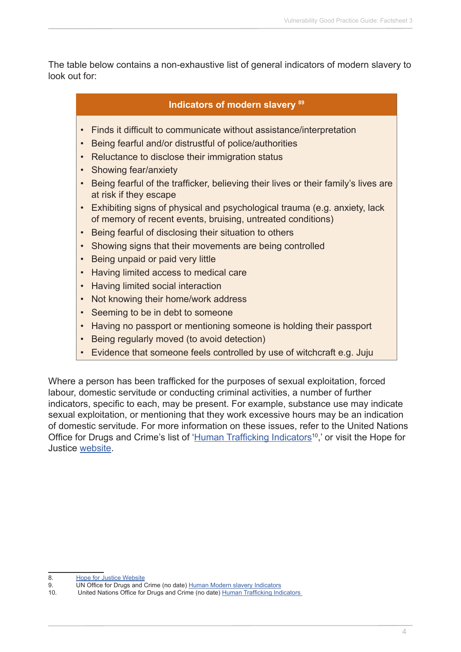The table below contains a non-exhaustive list of general indicators of modern slavery to look out for:

#### **Indicators of modern slavery <sup>89</sup>**

- Finds it difficult to communicate without assistance/interpretation
- Being fearful and/or distrustful of police/authorities
- Reluctance to disclose their immigration status
- Showing fear/anxiety
- Being fearful of the trafficker, believing their lives or their family's lives are at risk if they escape
- Exhibiting signs of physical and psychological trauma (e.g. anxiety, lack of memory of recent events, bruising, untreated conditions)
- Being fearful of disclosing their situation to others
- Showing signs that their movements are being controlled
- Being unpaid or paid very little
- Having limited access to medical care
- Having limited social interaction
- Not knowing their home/work address
- Seeming to be in debt to someone
- Having no passport or mentioning someone is holding their passport
- Being regularly moved (to avoid detection)
- Evidence that someone feels controlled by use of witchcraft e.g. Juju

Where a person has been trafficked for the purposes of sexual exploitation, forced labour, domestic servitude or conducting criminal activities, a number of further indicators, specific to each, may be present. For example, substance use may indicate sexual exploitation, or mentioning that they work excessive hours may be an indication of domestic servitude. For more information on these issues, refer to the United Nations Office for Drugs and Crime's list of 'Human Trafficking Indicators<sup>10</sup>,' or visit the Hope for Justice [website](http://hopeforjustice.org/spot-the-signs/).

<sup>8.</sup> **[Hope for Justice Website](http://hopeforjustice.org/spot-the-signs/)** 

<sup>9.</sup> UN Office for Drugs and Crime (no date) [Human Modern slavery Indicators](https://www.unodc.org/pdf/HT_indicators_E_LOWRES.pdf)

<sup>10.</sup> United Nations Office for Drugs and Crime (no date) [Human Trafficking Indicators](https://www.unodc.org/pdf/HT_indicators_E_LOWRES.pdf)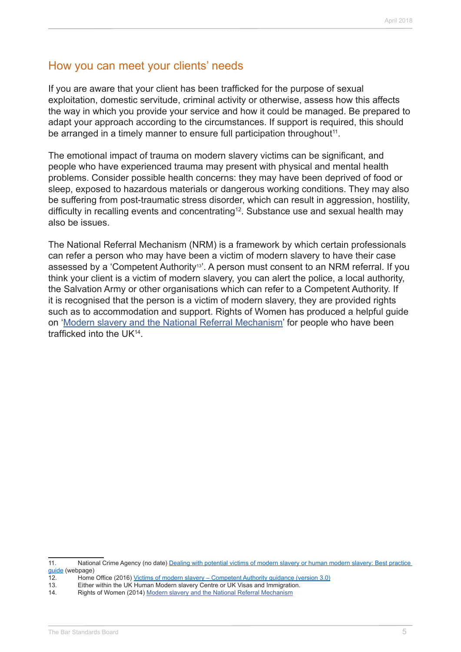### How you can meet your clients' needs

If you are aware that your client has been trafficked for the purpose of sexual exploitation, domestic servitude, criminal activity or otherwise, assess how this affects the way in which you provide your service and how it could be managed. Be prepared to adapt your approach according to the circumstances. If support is required, this should be arranged in a timely manner to ensure full participation throughout<sup>11</sup>.

The emotional impact of trauma on modern slavery victims can be significant, and people who have experienced trauma may present with physical and mental health problems. Consider possible health concerns: they may have been deprived of food or sleep, exposed to hazardous materials or dangerous working conditions. They may also be suffering from post-traumatic stress disorder, which can result in aggression, hostility, difficulty in recalling events and concentrating<sup>12</sup>. Substance use and sexual health may also be issues.

The National Referral Mechanism (NRM) is a framework by which certain professionals can refer a person who may have been a victim of modern slavery to have their case assessed by a 'Competent Authority<sup>13'</sup>. A person must consent to an NRM referral. If you think your client is a victim of modern slavery, you can alert the police, a local authority, the Salvation Army or other organisations which can refer to a Competent Authority. If it is recognised that the person is a victim of modern slavery, they are provided rights such as to accommodation and support. Rights of Women has produced a helpful guide on '[Modern slavery and the National Referral Mechanism](http://rightsofwomen.org.uk/wp-content/uploads/2014/10/Trafficking-and-the-National-Referral-Mechanism.pdf)' for people who have been trafficked into the UK14.

<sup>11.</sup> National Crime Agency (no date) [Dealing with potential victims of modern slavery or human modern slavery: Best practice](http://www.nationalcrimeagency.gov.uk/about-us/what-we-do/specialist-capabilities/uk-human-trafficking-centre/best-practice-guide)  [guide](http://www.nationalcrimeagency.gov.uk/about-us/what-we-do/specialist-capabilities/uk-human-trafficking-centre/best-practice-guide) (webpage)

<sup>12.</sup> Home Office (2016) [Victims of modern slavery – Competent Authority guidance \(version 3.0\)](https://www.gov.uk/government/uploads/system/uploads/attachment_data/file/521763/Victims_of_modern_slavery_-_Competent_Authority_guidance_v3_0.pdf)

<sup>13.</sup> Either within the UK Human Modern slavery Centre or UK Visas and Immigration.

<sup>14.</sup> Rights of Women (2014) [Modern slavery and the National Referral Mechanism](http://rightsofwomen.org.uk/wp-content/uploads/2014/10/Trafficking-and-the-National-Referral-Mechanism.pdf)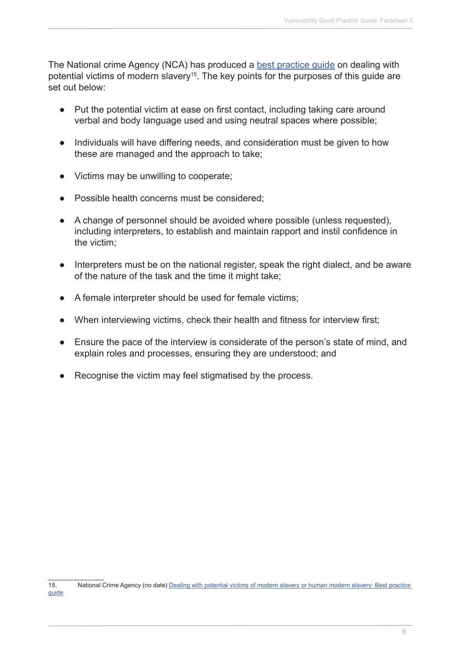The National crime Agency (NCA) has produced a best practice quide on dealing with potential victims of modern slavery<sup>15</sup>. The key points for the purposes of this guide are set out below:

- **●** Put the potential victim at ease on first contact, including taking care around verbal and body language used and using neutral spaces where possible;
- **●** Individuals will have differing needs, and consideration must be given to how these are managed and the approach to take;
- **●** Victims may be unwilling to cooperate;
- Possible health concerns must be considered;
- **●** A change of personnel should be avoided where possible (unless requested), including interpreters, to establish and maintain rapport and instil confidence in the victim;
- **●** Interpreters must be on the national register, speak the right dialect, and be aware of the nature of the task and the time it might take;
- **●** A female interpreter should be used for female victims;
- When interviewing victims, check their health and fitness for interview first;
- Ensure the pace of the interview is considerate of the person's state of mind, and explain roles and processes, ensuring they are understood; and
- Recognise the victim may feel stigmatised by the process.

<sup>15.</sup> National Crime Agency (no date) [Dealing with potential victims of modern slavery or human modern slavery: Best practice](http://www.nationalcrimeagency.gov.uk/about-us/what-we-do/specialist-capabilities/uk-human-trafficking-centre/best-practice-guide)  [guide](http://www.nationalcrimeagency.gov.uk/about-us/what-we-do/specialist-capabilities/uk-human-trafficking-centre/best-practice-guide)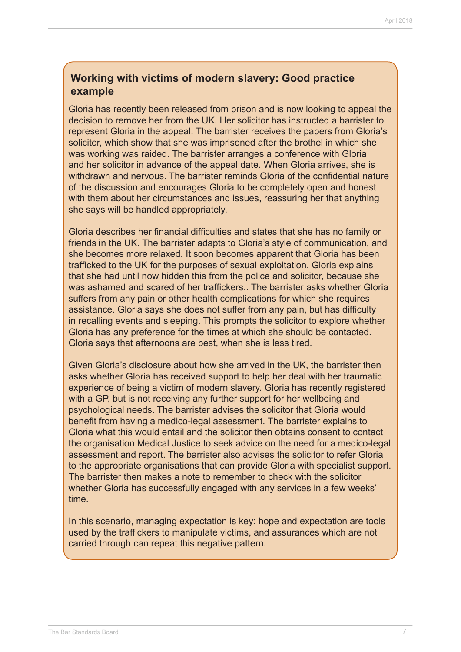### **Working with victims of modern slavery: Good practice example**

Gloria has recently been released from prison and is now looking to appeal the decision to remove her from the UK. Her solicitor has instructed a barrister to represent Gloria in the appeal. The barrister receives the papers from Gloria's solicitor, which show that she was imprisoned after the brothel in which she was working was raided. The barrister arranges a conference with Gloria and her solicitor in advance of the appeal date. When Gloria arrives, she is withdrawn and nervous. The barrister reminds Gloria of the confidential nature of the discussion and encourages Gloria to be completely open and honest with them about her circumstances and issues, reassuring her that anything she says will be handled appropriately.

Gloria describes her financial difficulties and states that she has no family or friends in the UK. The barrister adapts to Gloria's style of communication, and she becomes more relaxed. It soon becomes apparent that Gloria has been trafficked to the UK for the purposes of sexual exploitation. Gloria explains that she had until now hidden this from the police and solicitor, because she was ashamed and scared of her traffickers.. The barrister asks whether Gloria suffers from any pain or other health complications for which she requires assistance. Gloria says she does not suffer from any pain, but has difficulty in recalling events and sleeping. This prompts the solicitor to explore whether Gloria has any preference for the times at which she should be contacted. Gloria says that afternoons are best, when she is less tired.

Given Gloria's disclosure about how she arrived in the UK, the barrister then asks whether Gloria has received support to help her deal with her traumatic experience of being a victim of modern slavery. Gloria has recently registered with a GP, but is not receiving any further support for her wellbeing and psychological needs. The barrister advises the solicitor that Gloria would benefit from having a medico-legal assessment. The barrister explains to Gloria what this would entail and the solicitor then obtains consent to contact the organisation Medical Justice to seek advice on the need for a medico-legal assessment and report. The barrister also advises the solicitor to refer Gloria to the appropriate organisations that can provide Gloria with specialist support. The barrister then makes a note to remember to check with the solicitor whether Gloria has successfully engaged with any services in a few weeks' time.

In this scenario, managing expectation is key: hope and expectation are tools used by the traffickers to manipulate victims, and assurances which are not carried through can repeat this negative pattern.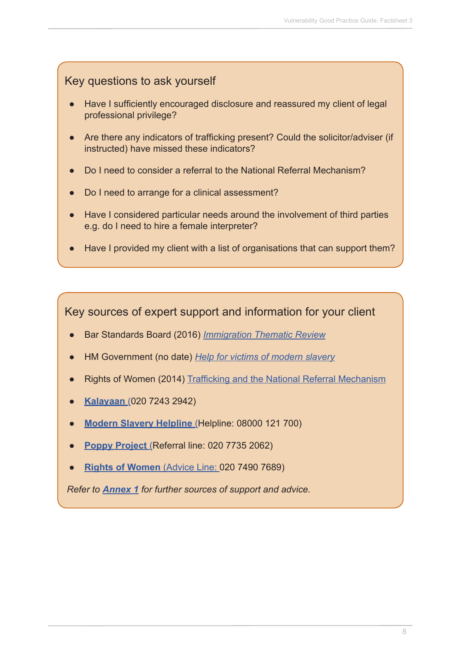## Key questions to ask yourself

- Have I sufficiently encouraged disclosure and reassured my client of legal professional privilege?
- **●** Are there any indicators of trafficking present? Could the solicitor/adviser (if instructed) have missed these indicators?
- **●** Do I need to consider a referral to the National Referral Mechanism?
- **●** Do I need to arrange for a clinical assessment?
- **●** Have I considered particular needs around the involvement of third parties e.g. do I need to hire a female interpreter?
- Have I provided my client with a list of organisations that can support them?

Key sources of expert support and information for your client

- **●** Bar Standards Board (2016) *[Immigration Thematic Review](https://www.barstandardsboard.org.uk/media/1760828/immigration_thematic_review_report_may_2016.pdf)*
- **●** HM Government (no date) *[Help for victims of modern slavery](https://www.gov.uk/government/uploads/system/uploads/attachment_data/file/510593/6_1672_HO_VictimsModernSlavery_DL_FINAL_WEB_230316.pdf)*
- **●** Rights of Women (2014) [Trafficking and the National Referral Mechanism](http://rightsofwomen.org.uk/wp-content/uploads/2014/10/Trafficking-and-the-National-Referral-Mechanism.pdf)
- **● [Kalayaan](http://www.kalayaan.org.uk/)** (020 7243 2942)
- **[Modern Slavery Helpline](https://www.modernslaveryhelpline.org/)** (Helpline: 08000 121 700)
- **[Poppy Project](https://www.helpforvictims.co.uk/content/G82.htm)** (Referral line: 020 7735 2062)
- **● [Rights of Women](http://rightsofwomen.org.uk/)** (Advice Line: 020 7490 7689)

*Refer to [Annex 1](http://www.barstandardsboard.org.uk/media/1929032/useful_contacts.pdf) for further sources of support and advice.*